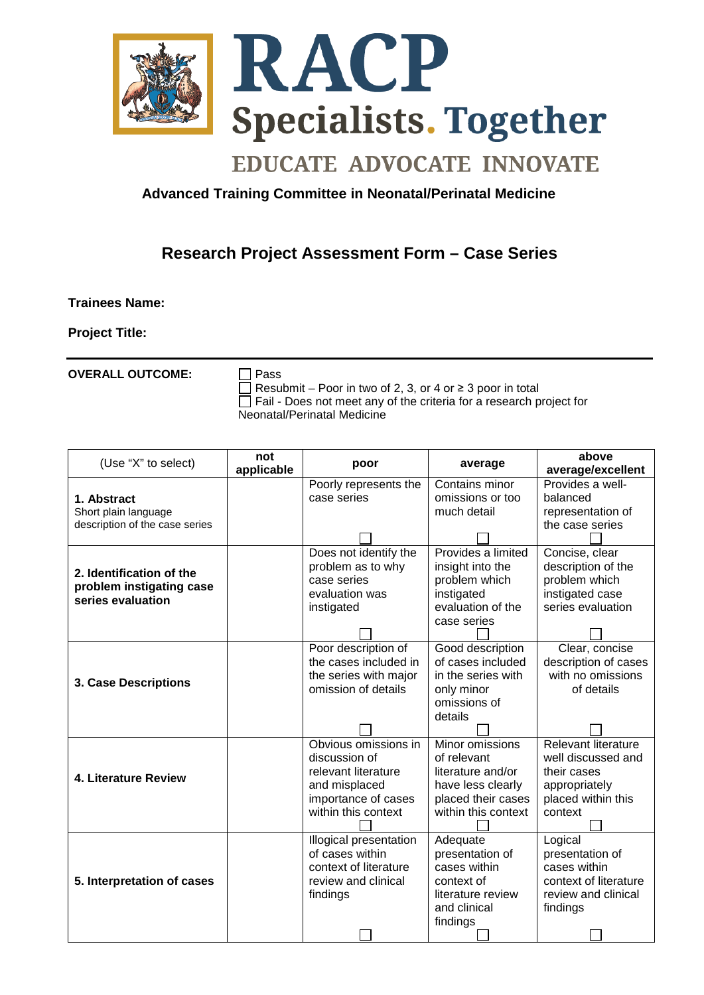

## **EDUCATE ADVOCATE INNOVATE**

## **Advanced Training Committee in Neonatal/Perinatal Medicine**

## **Research Project Assessment Form – Case Series**

## **Trainees Name:**

**Project Title:**

**OVERALL OUTCOME:** □ Pass

Resubmit – Poor in two of 2, 3, or 4 or  $\geq$  3 poor in total  $\Box$  Fail - Does not meet any of the criteria for a research project for Neonatal/Perinatal Medicine

| (Use "X" to select)                                                       | not<br>applicable | poor                   | average             | above<br>average/excellent |
|---------------------------------------------------------------------------|-------------------|------------------------|---------------------|----------------------------|
| 1. Abstract<br>Short plain language<br>description of the case series     |                   | Poorly represents the  | Contains minor      | Provides a well-           |
|                                                                           |                   | case series            | omissions or too    | balanced                   |
|                                                                           |                   |                        | much detail         | representation of          |
|                                                                           |                   |                        |                     | the case series            |
|                                                                           |                   |                        |                     |                            |
| 2. Identification of the<br>problem instigating case<br>series evaluation |                   | Does not identify the  | Provides a limited  | Concise, clear             |
|                                                                           |                   | problem as to why      | insight into the    | description of the         |
|                                                                           |                   | case series            | problem which       | problem which              |
|                                                                           |                   | evaluation was         | instigated          | instigated case            |
|                                                                           |                   | instigated             | evaluation of the   | series evaluation          |
|                                                                           |                   |                        | case series         |                            |
|                                                                           |                   | Poor description of    | Good description    | Clear, concise             |
| <b>3. Case Descriptions</b>                                               |                   | the cases included in  | of cases included   | description of cases       |
|                                                                           |                   | the series with major  | in the series with  | with no omissions          |
|                                                                           |                   | omission of details    | only minor          | of details                 |
|                                                                           |                   |                        | omissions of        |                            |
|                                                                           |                   |                        | details             |                            |
|                                                                           |                   |                        |                     |                            |
| 4. Literature Review                                                      |                   | Obvious omissions in   | Minor omissions     | Relevant literature        |
|                                                                           |                   | discussion of          | of relevant         | well discussed and         |
|                                                                           |                   | relevant literature    | literature and/or   | their cases                |
|                                                                           |                   | and misplaced          | have less clearly   | appropriately              |
|                                                                           |                   | importance of cases    | placed their cases  | placed within this         |
|                                                                           |                   | within this context    | within this context | context                    |
| 5. Interpretation of cases                                                |                   | Illogical presentation | Adequate            | Logical                    |
|                                                                           |                   | of cases within        | presentation of     | presentation of            |
|                                                                           |                   | context of literature  | cases within        | cases within               |
|                                                                           |                   | review and clinical    | context of          | context of literature      |
|                                                                           |                   | findings               | literature review   | review and clinical        |
|                                                                           |                   |                        | and clinical        | findings                   |
|                                                                           |                   |                        | findings            |                            |
|                                                                           |                   |                        |                     |                            |